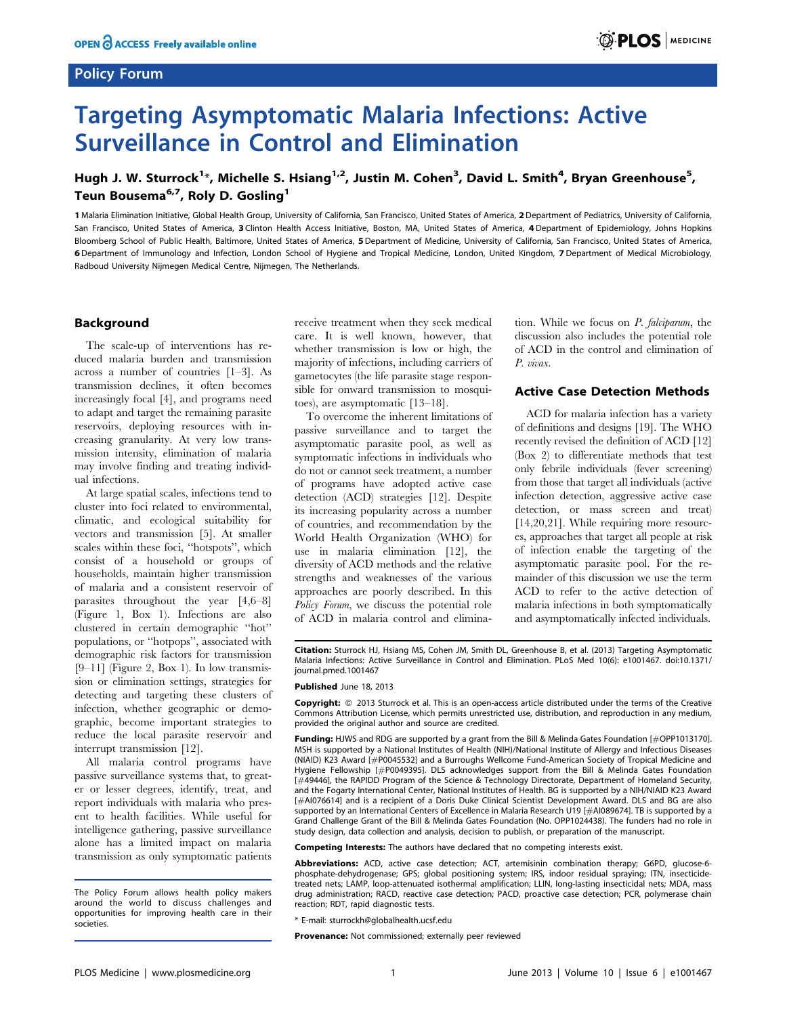# Policy Forum



# Targeting Asymptomatic Malaria Infections: Active Surveillance in Control and Elimination

# Hugh J. W. Sturrock<sup>1</sup>\*, Michelle S. Hsiang<sup>1,2</sup>, Justin M. Cohen<sup>3</sup>, David L. Smith<sup>4</sup>, Bryan Greenhouse<sup>5</sup>, Teun Bousema<sup>6,7</sup>, Roly D. Gosling<sup>1</sup>

1 Malaria Elimination Initiative, Global Health Group, University of California, San Francisco, United States of America, 2 Department of Pediatrics, University of California, San Francisco, United States of America, 3 Clinton Health Access Initiative, Boston, MA, United States of America, 4 Department of Epidemiology, Johns Hopkins Bloomberg School of Public Health, Baltimore, United States of America, 5 Department of Medicine, University of California, San Francisco, United States of America, 6 Department of Immunology and Infection, London School of Hygiene and Tropical Medicine, London, United Kingdom, 7 Department of Medical Microbiology, Radboud University Nijmegen Medical Centre, Nijmegen, The Netherlands.

## Background

The scale-up of interventions has reduced malaria burden and transmission across a number of countries [1–3]. As transmission declines, it often becomes increasingly focal [4], and programs need to adapt and target the remaining parasite reservoirs, deploying resources with increasing granularity. At very low transmission intensity, elimination of malaria may involve finding and treating individual infections.

At large spatial scales, infections tend to cluster into foci related to environmental, climatic, and ecological suitability for vectors and transmission [5]. At smaller scales within these foci, ''hotspots'', which consist of a household or groups of households, maintain higher transmission of malaria and a consistent reservoir of parasites throughout the year [4,6–8] (Figure 1, Box 1). Infections are also clustered in certain demographic ''hot'' populations, or ''hotpops'', associated with demographic risk factors for transmission  $[9-11]$  (Figure 2, Box 1). In low transmission or elimination settings, strategies for detecting and targeting these clusters of infection, whether geographic or demographic, become important strategies to reduce the local parasite reservoir and interrupt transmission [12].

All malaria control programs have passive surveillance systems that, to greater or lesser degrees, identify, treat, and report individuals with malaria who present to health facilities. While useful for intelligence gathering, passive surveillance alone has a limited impact on malaria transmission as only symptomatic patients receive treatment when they seek medical care. It is well known, however, that whether transmission is low or high, the majority of infections, including carriers of gametocytes (the life parasite stage responsible for onward transmission to mosquitoes), are asymptomatic [13–18].

To overcome the inherent limitations of passive surveillance and to target the asymptomatic parasite pool, as well as symptomatic infections in individuals who do not or cannot seek treatment, a number of programs have adopted active case detection (ACD) strategies [12]. Despite its increasing popularity across a number of countries, and recommendation by the World Health Organization (WHO) for use in malaria elimination [12], the diversity of ACD methods and the relative strengths and weaknesses of the various approaches are poorly described. In this Policy Forum, we discuss the potential role of ACD in malaria control and elimination. While we focus on P. falciparum, the discussion also includes the potential role of ACD in the control and elimination of P. vivax.

## Active Case Detection Methods

ACD for malaria infection has a variety of definitions and designs [19]. The WHO recently revised the definition of ACD [12] (Box 2) to differentiate methods that test only febrile individuals (fever screening) from those that target all individuals (active infection detection, aggressive active case detection, or mass screen and treat) [14,20,21]. While requiring more resources, approaches that target all people at risk of infection enable the targeting of the asymptomatic parasite pool. For the remainder of this discussion we use the term ACD to refer to the active detection of malaria infections in both symptomatically and asymptomatically infected individuals.

Citation: Sturrock HJ, Hsiang MS, Cohen JM, Smith DL, Greenhouse B, et al. (2013) Targeting Asymptomatic Malaria Infections: Active Surveillance in Control and Elimination. PLoS Med 10(6): e1001467. doi:10.1371/ journal.pmed.1001467

#### Published June 18, 2013

Copyright: © 2013 Sturrock et al. This is an open-access article distributed under the terms of the Creative Commons Attribution License, which permits unrestricted use, distribution, and reproduction in any medium, provided the original author and source are credited.

Funding: HJWS and RDG are supported by a grant from the Bill & Melinda Gates Foundation [#OPP1013170]. MSH is supported by a National Institutes of Health (NIH)/National Institute of Allergy and Infectious Diseases (NIAID) K23 Award [#P0045532] and a Burroughs Wellcome Fund-American Society of Tropical Medicine and Hygiene Fellowship [#P0049395]. DLS acknowledges support from the Bill & Melinda Gates Foundation [#49446], the RAPIDD Program of the Science & Technology Directorate, Department of Homeland Security, and the Fogarty International Center, National Institutes of Health. BG is supported by a NIH/NIAID K23 Award [#AI076614] and is a recipient of a Doris Duke Clinical Scientist Development Award. DLS and BG are also supported by an International Centers of Excellence in Malaria Research U19 [#AI089674]. TB is supported by a Grand Challenge Grant of the Bill & Melinda Gates Foundation (No. OPP1024438). The funders had no role in study design, data collection and analysis, decision to publish, or preparation of the manuscript.

Competing Interests: The authors have declared that no competing interests exist.

Abbreviations: ACD, active case detection; ACT, artemisinin combination therapy; G6PD, glucose-6phosphate-dehydrogenase; GPS; global positioning system; IRS, indoor residual spraying; ITN, insecticidetreated nets; LAMP, loop-attenuated isothermal amplification; LLIN, long-lasting insecticidal nets; MDA, mass drug administration; RACD, reactive case detection; PACD, proactive case detection; PCR, polymerase chain reaction; RDT, rapid diagnostic tests.

E-mail: sturrockh@globalhealth.ucsf.edu

Provenance: Not commissioned; externally peer reviewed

The Policy Forum allows health policy makers around the world to discuss challenges and opportunities for improving health care in their societies.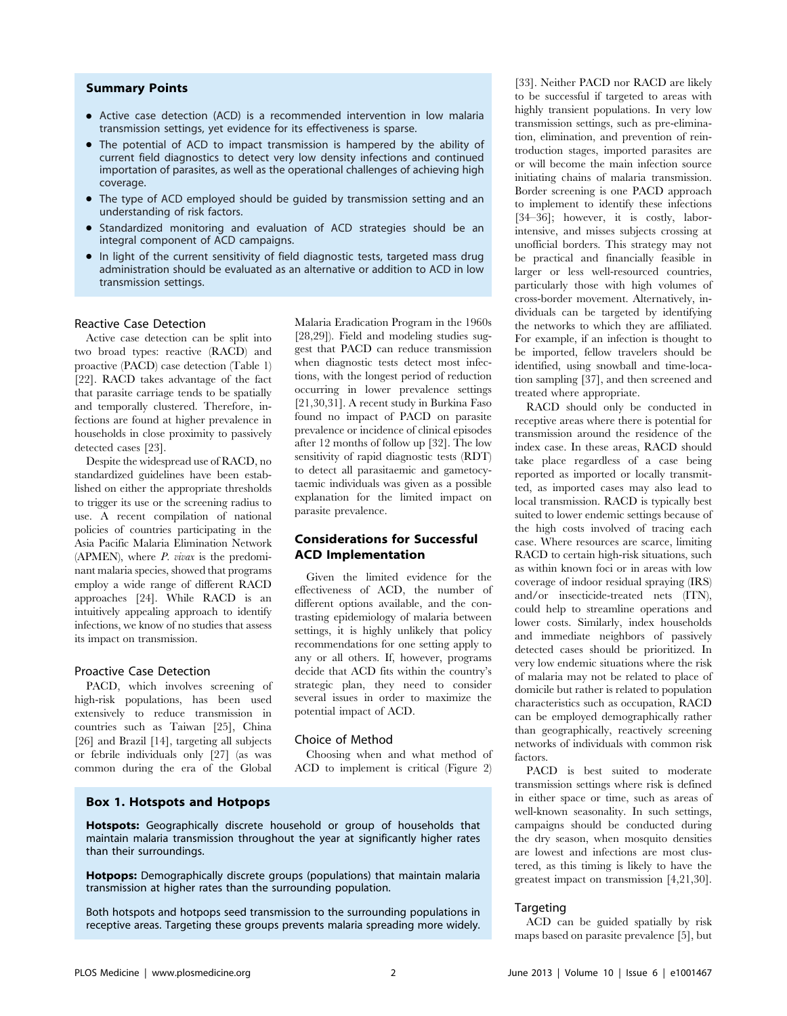# Summary Points

- $\bullet$  Active case detection (ACD) is a recommended intervention in low malaria transmission settings, yet evidence for its effectiveness is sparse.
- The potential of ACD to impact transmission is hampered by the ability of current field diagnostics to detect very low density infections and continued importation of parasites, as well as the operational challenges of achieving high coverage.
- The type of ACD employed should be quided by transmission setting and an understanding of risk factors.
- N Standardized monitoring and evaluation of ACD strategies should be an integral component of ACD campaigns.
- In light of the current sensitivity of field diagnostic tests, targeted mass drug administration should be evaluated as an alternative or addition to ACD in low transmission settings.

# Reactive Case Detection

Active case detection can be split into two broad types: reactive (RACD) and proactive (PACD) case detection (Table 1) [22]. RACD takes advantage of the fact that parasite carriage tends to be spatially and temporally clustered. Therefore, infections are found at higher prevalence in households in close proximity to passively detected cases [23].

Despite the widespread use of RACD, no standardized guidelines have been established on either the appropriate thresholds to trigger its use or the screening radius to use. A recent compilation of national policies of countries participating in the Asia Pacific Malaria Elimination Network  $(APMEN)$ , where *P. vivax* is the predominant malaria species, showed that programs employ a wide range of different RACD approaches [24]. While RACD is an intuitively appealing approach to identify infections, we know of no studies that assess its impact on transmission.

#### Proactive Case Detection

PACD, which involves screening of high-risk populations, has been used extensively to reduce transmission in countries such as Taiwan [25], China [26] and Brazil [14], targeting all subjects or febrile individuals only [27] (as was common during the era of the Global

Malaria Eradication Program in the 1960s [28,29]). Field and modeling studies suggest that PACD can reduce transmission when diagnostic tests detect most infections, with the longest period of reduction occurring in lower prevalence settings [21,30,31]. A recent study in Burkina Faso found no impact of PACD on parasite prevalence or incidence of clinical episodes after 12 months of follow up [32]. The low sensitivity of rapid diagnostic tests (RDT) to detect all parasitaemic and gametocytaemic individuals was given as a possible explanation for the limited impact on parasite prevalence.

# Considerations for Successful ACD Implementation

Given the limited evidence for the effectiveness of ACD, the number of different options available, and the contrasting epidemiology of malaria between settings, it is highly unlikely that policy recommendations for one setting apply to any or all others. If, however, programs decide that ACD fits within the country's strategic plan, they need to consider several issues in order to maximize the potential impact of ACD.

#### Choice of Method

Choosing when and what method of ACD to implement is critical (Figure 2)

#### Box 1. Hotspots and Hotpops

Hotspots: Geographically discrete household or group of households that maintain malaria transmission throughout the year at significantly higher rates than their surroundings.

Hotpops: Demographically discrete groups (populations) that maintain malaria transmission at higher rates than the surrounding population.

Both hotspots and hotpops seed transmission to the surrounding populations in receptive areas. Targeting these groups prevents malaria spreading more widely. [33]. Neither PACD nor RACD are likely to be successful if targeted to areas with highly transient populations. In very low transmission settings, such as pre-elimination, elimination, and prevention of reintroduction stages, imported parasites are or will become the main infection source initiating chains of malaria transmission. Border screening is one PACD approach to implement to identify these infections [34–36]; however, it is costly, laborintensive, and misses subjects crossing at unofficial borders. This strategy may not be practical and financially feasible in larger or less well-resourced countries, particularly those with high volumes of cross-border movement. Alternatively, individuals can be targeted by identifying the networks to which they are affiliated. For example, if an infection is thought to be imported, fellow travelers should be identified, using snowball and time-location sampling [37], and then screened and treated where appropriate.

RACD should only be conducted in receptive areas where there is potential for transmission around the residence of the index case. In these areas, RACD should take place regardless of a case being reported as imported or locally transmitted, as imported cases may also lead to local transmission. RACD is typically best suited to lower endemic settings because of the high costs involved of tracing each case. Where resources are scarce, limiting RACD to certain high-risk situations, such as within known foci or in areas with low coverage of indoor residual spraying (IRS) and/or insecticide-treated nets (ITN), could help to streamline operations and lower costs. Similarly, index households and immediate neighbors of passively detected cases should be prioritized. In very low endemic situations where the risk of malaria may not be related to place of domicile but rather is related to population characteristics such as occupation, RACD can be employed demographically rather than geographically, reactively screening networks of individuals with common risk factors.

PACD is best suited to moderate transmission settings where risk is defined in either space or time, such as areas of well-known seasonality. In such settings, campaigns should be conducted during the dry season, when mosquito densities are lowest and infections are most clustered, as this timing is likely to have the greatest impact on transmission [4,21,30].

#### **Targeting**

ACD can be guided spatially by risk maps based on parasite prevalence [5], but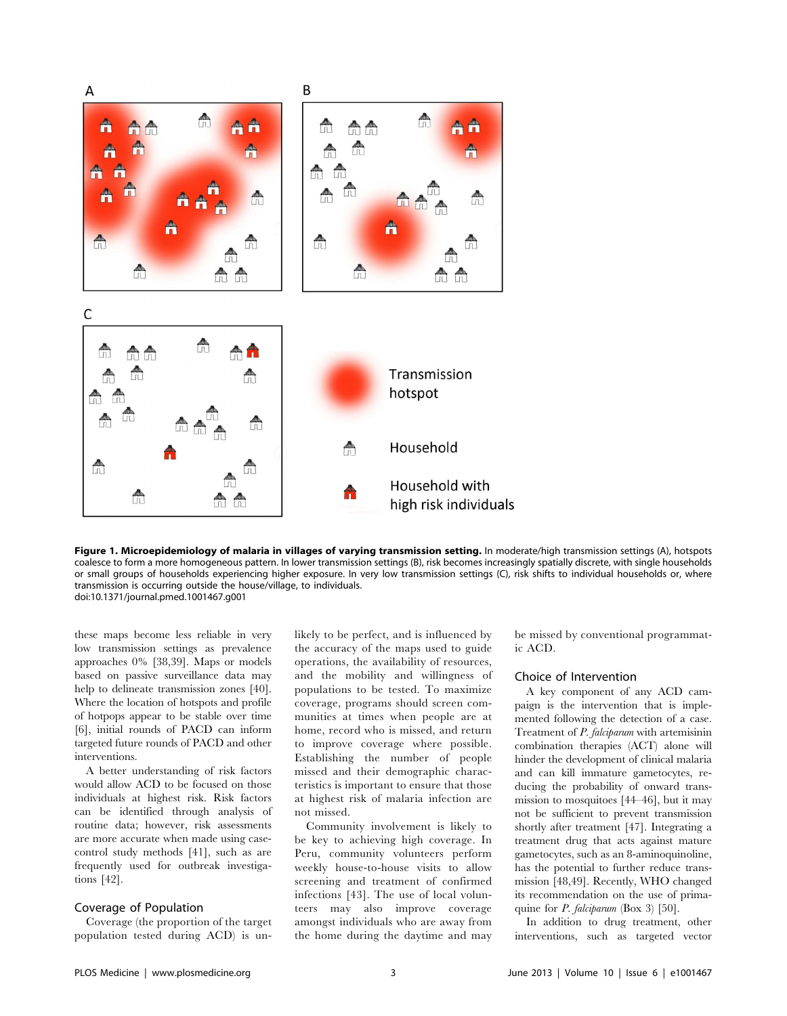

Figure 1. Microepidemiology of malaria in villages of varying transmission setting. In moderate/high transmission settings (A), hotspots coalesce to form a more homogeneous pattern. In lower transmission settings (B), risk becomes increasingly spatially discrete, with single households or small groups of households experiencing higher exposure. In very low transmission settings (C), risk shifts to individual households or, where transmission is occurring outside the house/village, to individuals. doi:10.1371/journal.pmed.1001467.g001

these maps become less reliable in very low transmission settings as prevalence approaches 0% [38,39]. Maps or models based on passive surveillance data may help to delineate transmission zones [40]. Where the location of hotspots and profile of hotpops appear to be stable over time [6], initial rounds of PACD can inform targeted future rounds of PACD and other interventions.

A better understanding of risk factors would allow ACD to be focused on those individuals at highest risk. Risk factors can be identified through analysis of routine data; however, risk assessments are more accurate when made using casecontrol study methods [41], such as are frequently used for outbreak investigations [42].

## Coverage of Population

Coverage (the proportion of the target population tested during ACD) is unlikely to be perfect, and is influenced by the accuracy of the maps used to guide operations, the availability of resources, and the mobility and willingness of populations to be tested. To maximize coverage, programs should screen communities at times when people are at home, record who is missed, and return to improve coverage where possible. Establishing the number of people missed and their demographic characteristics is important to ensure that those at highest risk of malaria infection are not missed.

Community involvement is likely to be key to achieving high coverage. In Peru, community volunteers perform weekly house-to-house visits to allow screening and treatment of confirmed infections [43]. The use of local volunteers may also improve coverage amongst individuals who are away from the home during the daytime and may be missed by conventional programmatic ACD.

#### Choice of Intervention

A key component of any ACD campaign is the intervention that is implemented following the detection of a case. Treatment of P. falciparum with artemisinin combination therapies (ACT) alone will hinder the development of clinical malaria and can kill immature gametocytes, reducing the probability of onward transmission to mosquitoes [44–46], but it may not be sufficient to prevent transmission shortly after treatment [47]. Integrating a treatment drug that acts against mature gametocytes, such as an 8-aminoquinoline, has the potential to further reduce transmission [48,49]. Recently, WHO changed its recommendation on the use of primaquine for *P. falciparum* (Box 3) [50].

In addition to drug treatment, other interventions, such as targeted vector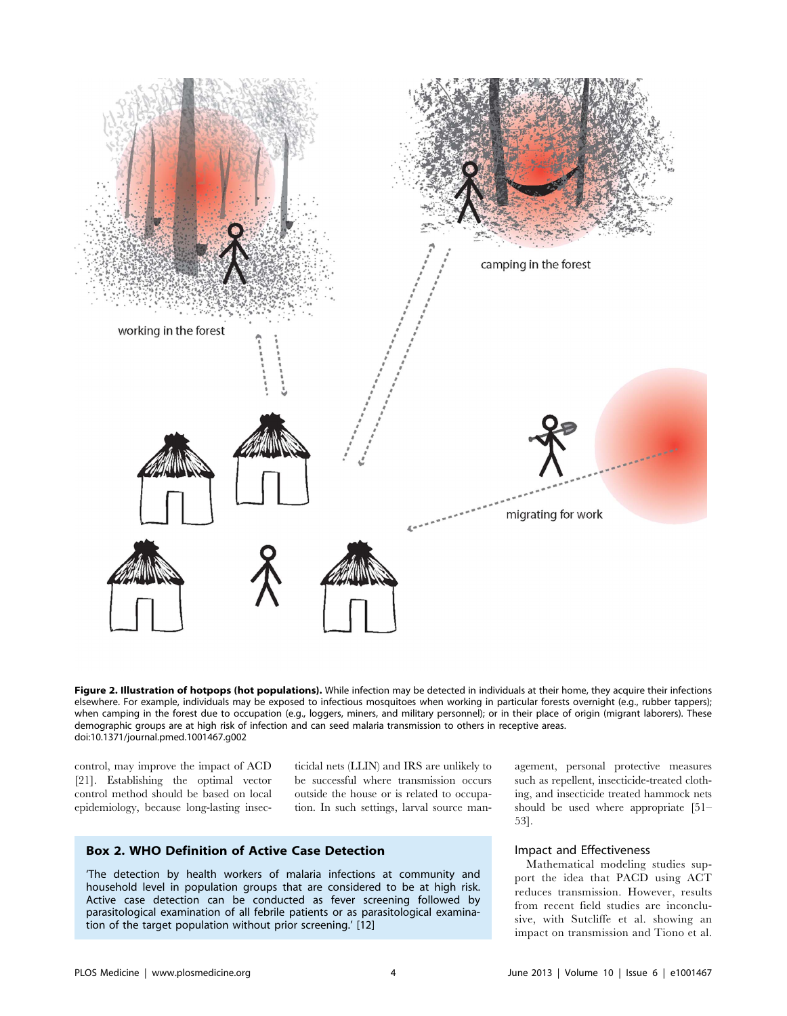

Figure 2. Illustration of hotpops (hot populations). While infection may be detected in individuals at their home, they acquire their infections elsewhere. For example, individuals may be exposed to infectious mosquitoes when working in particular forests overnight (e.g., rubber tappers); when camping in the forest due to occupation (e.g., loggers, miners, and military personnel); or in their place of origin (migrant laborers). These demographic groups are at high risk of infection and can seed malaria transmission to others in receptive areas. doi:10.1371/journal.pmed.1001467.g002

control, may improve the impact of ACD [21]. Establishing the optimal vector control method should be based on local epidemiology, because long-lasting insecticidal nets (LLIN) and IRS are unlikely to be successful where transmission occurs outside the house or is related to occupation. In such settings, larval source man-

# Box 2. WHO Definition of Active Case Detection

'The detection by health workers of malaria infections at community and household level in population groups that are considered to be at high risk. Active case detection can be conducted as fever screening followed by parasitological examination of all febrile patients or as parasitological examination of the target population without prior screening.' [12]

agement, personal protective measures such as repellent, insecticide-treated clothing, and insecticide treated hammock nets should be used where appropriate [51– 53].

# Impact and Effectiveness

Mathematical modeling studies support the idea that PACD using ACT reduces transmission. However, results from recent field studies are inconclusive, with Sutcliffe et al. showing an impact on transmission and Tiono et al.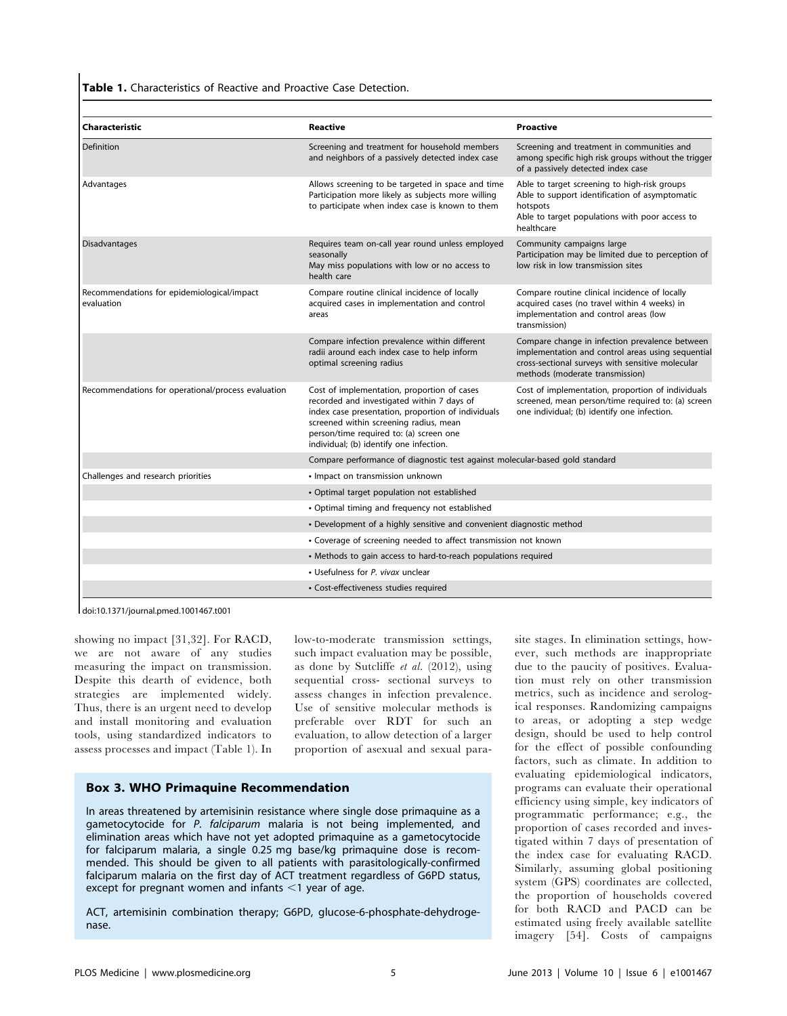| Characteristic                                           | <b>Reactive</b>                                                                                                                                                                                                                                                                 | <b>Proactive</b>                                                                                                                                                                           |  |  |  |
|----------------------------------------------------------|---------------------------------------------------------------------------------------------------------------------------------------------------------------------------------------------------------------------------------------------------------------------------------|--------------------------------------------------------------------------------------------------------------------------------------------------------------------------------------------|--|--|--|
| Definition                                               | Screening and treatment for household members<br>and neighbors of a passively detected index case                                                                                                                                                                               | Screening and treatment in communities and<br>among specific high risk groups without the trigger<br>of a passively detected index case                                                    |  |  |  |
| Advantages                                               | Allows screening to be targeted in space and time<br>Participation more likely as subjects more willing<br>to participate when index case is known to them                                                                                                                      | Able to target screening to high-risk groups<br>Able to support identification of asymptomatic<br>hotspots<br>Able to target populations with poor access to<br>healthcare                 |  |  |  |
| <b>Disadvantages</b>                                     | Requires team on-call year round unless employed<br>seasonally<br>May miss populations with low or no access to<br>health care                                                                                                                                                  | Community campaigns large<br>Participation may be limited due to perception of<br>low risk in low transmission sites                                                                       |  |  |  |
| Recommendations for epidemiological/impact<br>evaluation | Compare routine clinical incidence of locally<br>acquired cases in implementation and control<br>areas                                                                                                                                                                          | Compare routine clinical incidence of locally<br>acquired cases (no travel within 4 weeks) in<br>implementation and control areas (low<br>transmission)                                    |  |  |  |
|                                                          | Compare infection prevalence within different<br>radii around each index case to help inform<br>optimal screening radius                                                                                                                                                        | Compare change in infection prevalence between<br>implementation and control areas using sequential<br>cross-sectional surveys with sensitive molecular<br>methods (moderate transmission) |  |  |  |
| Recommendations for operational/process evaluation       | Cost of implementation, proportion of cases<br>recorded and investigated within 7 days of<br>index case presentation, proportion of individuals<br>screened within screening radius, mean<br>person/time required to: (a) screen one<br>individual; (b) identify one infection. | Cost of implementation, proportion of individuals<br>screened, mean person/time required to: (a) screen<br>one individual; (b) identify one infection.                                     |  |  |  |
|                                                          | Compare performance of diagnostic test against molecular-based gold standard                                                                                                                                                                                                    |                                                                                                                                                                                            |  |  |  |
| Challenges and research priorities                       | • Impact on transmission unknown                                                                                                                                                                                                                                                |                                                                                                                                                                                            |  |  |  |
|                                                          | · Optimal target population not established                                                                                                                                                                                                                                     |                                                                                                                                                                                            |  |  |  |
|                                                          | • Optimal timing and frequency not established                                                                                                                                                                                                                                  |                                                                                                                                                                                            |  |  |  |
|                                                          | • Development of a highly sensitive and convenient diagnostic method                                                                                                                                                                                                            |                                                                                                                                                                                            |  |  |  |
|                                                          | • Coverage of screening needed to affect transmission not known                                                                                                                                                                                                                 |                                                                                                                                                                                            |  |  |  |
|                                                          | • Methods to gain access to hard-to-reach populations required                                                                                                                                                                                                                  |                                                                                                                                                                                            |  |  |  |
|                                                          | • Usefulness for P. vivax unclear                                                                                                                                                                                                                                               |                                                                                                                                                                                            |  |  |  |
|                                                          | • Cost-effectiveness studies required                                                                                                                                                                                                                                           |                                                                                                                                                                                            |  |  |  |

doi:10.1371/journal.pmed.1001467.t001

showing no impact [31,32]. For RACD, we are not aware of any studies measuring the impact on transmission. Despite this dearth of evidence, both strategies are implemented widely. Thus, there is an urgent need to develop and install monitoring and evaluation tools, using standardized indicators to assess processes and impact (Table 1). In

low-to-moderate transmission settings, such impact evaluation may be possible, as done by Sutcliffe et al. (2012), using sequential cross- sectional surveys to assess changes in infection prevalence. Use of sensitive molecular methods is preferable over RDT for such an evaluation, to allow detection of a larger proportion of asexual and sexual para-

## Box 3. WHO Primaquine Recommendation

In areas threatened by artemisinin resistance where single dose primaquine as a gametocytocide for P. falciparum malaria is not being implemented, and elimination areas which have not yet adopted primaquine as a gametocytocide for falciparum malaria, a single 0.25 mg base/kg primaquine dose is recommended. This should be given to all patients with parasitologically-confirmed falciparum malaria on the first day of ACT treatment regardless of G6PD status, except for pregnant women and infants  $<$ 1 year of age.

ACT, artemisinin combination therapy; G6PD, glucose-6-phosphate-dehydrogenase.

site stages. In elimination settings, however, such methods are inappropriate due to the paucity of positives. Evaluation must rely on other transmission metrics, such as incidence and serological responses. Randomizing campaigns to areas, or adopting a step wedge design, should be used to help control for the effect of possible confounding factors, such as climate. In addition to evaluating epidemiological indicators, programs can evaluate their operational efficiency using simple, key indicators of programmatic performance; e.g., the proportion of cases recorded and investigated within 7 days of presentation of the index case for evaluating RACD. Similarly, assuming global positioning system (GPS) coordinates are collected, the proportion of households covered for both RACD and PACD can be estimated using freely available satellite imagery [54]. Costs of campaigns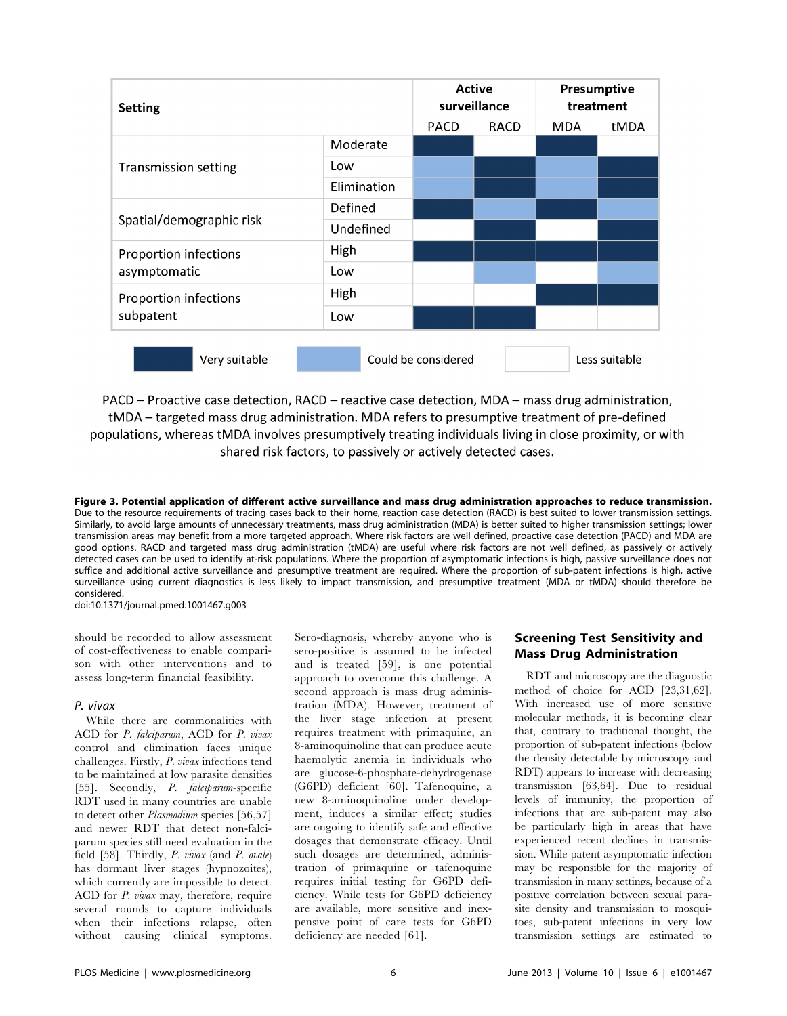| <b>Setting</b>                        |             | <b>Active</b><br>surveillance |      | Presumptive<br>treatment |               |
|---------------------------------------|-------------|-------------------------------|------|--------------------------|---------------|
|                                       |             | <b>PACD</b>                   | RACD | MDA                      | tMDA          |
| <b>Transmission setting</b>           | Moderate    |                               |      |                          |               |
|                                       | Low         |                               |      |                          |               |
|                                       | Elimination |                               |      |                          |               |
| Spatial/demographic risk              | Defined     |                               |      |                          |               |
|                                       | Undefined   |                               |      |                          |               |
| Proportion infections<br>asymptomatic | High        |                               |      |                          |               |
|                                       | Low         |                               |      |                          |               |
| Proportion infections<br>subpatent    | High        |                               |      |                          |               |
|                                       | Low         |                               |      |                          |               |
| Very suitable                         |             | Could be considered           |      |                          | Less suitable |

PACD - Proactive case detection, RACD - reactive case detection, MDA - mass drug administration, tMDA – targeted mass drug administration. MDA refers to presumptive treatment of pre-defined populations, whereas tMDA involves presumptively treating individuals living in close proximity, or with shared risk factors, to passively or actively detected cases.

Figure 3. Potential application of different active surveillance and mass drug administration approaches to reduce transmission. Due to the resource requirements of tracing cases back to their home, reaction case detection (RACD) is best suited to lower transmission settings. Similarly, to avoid large amounts of unnecessary treatments, mass drug administration (MDA) is better suited to higher transmission settings; lower transmission areas may benefit from a more targeted approach. Where risk factors are well defined, proactive case detection (PACD) and MDA are good options. RACD and targeted mass drug administration (tMDA) are useful where risk factors are not well defined, as passively or actively detected cases can be used to identify at-risk populations. Where the proportion of asymptomatic infections is high, passive surveillance does not suffice and additional active surveillance and presumptive treatment are required. Where the proportion of sub-patent infections is high, active surveillance using current diagnostics is less likely to impact transmission, and presumptive treatment (MDA or tMDA) should therefore be considered.

doi:10.1371/journal.pmed.1001467.g003

should be recorded to allow assessment of cost-effectiveness to enable comparison with other interventions and to assess long-term financial feasibility.

#### P. vivax

While there are commonalities with ACD for P. falciparum, ACD for P. vivax control and elimination faces unique challenges. Firstly, P. vivax infections tend to be maintained at low parasite densities [55]. Secondly, P. falciparum-specific RDT used in many countries are unable to detect other Plasmodium species [56,57] and newer RDT that detect non-falciparum species still need evaluation in the field [58]. Thirdly, P. vivax (and P. ovale) has dormant liver stages (hypnozoites), which currently are impossible to detect. ACD for P. vivax may, therefore, require several rounds to capture individuals when their infections relapse, often without causing clinical symptoms.

Sero-diagnosis, whereby anyone who is sero-positive is assumed to be infected and is treated [59], is one potential approach to overcome this challenge. A second approach is mass drug administration (MDA). However, treatment of the liver stage infection at present requires treatment with primaquine, an 8-aminoquinoline that can produce acute haemolytic anemia in individuals who are glucose-6-phosphate-dehydrogenase (G6PD) deficient [60]. Tafenoquine, a new 8-aminoquinoline under development, induces a similar effect; studies are ongoing to identify safe and effective dosages that demonstrate efficacy. Until such dosages are determined, administration of primaquine or tafenoquine requires initial testing for G6PD deficiency. While tests for G6PD deficiency are available, more sensitive and inexpensive point of care tests for G6PD deficiency are needed [61].

# Screening Test Sensitivity and Mass Drug Administration

RDT and microscopy are the diagnostic method of choice for ACD [23,31,62]. With increased use of more sensitive molecular methods, it is becoming clear that, contrary to traditional thought, the proportion of sub-patent infections (below the density detectable by microscopy and RDT) appears to increase with decreasing transmission [63,64]. Due to residual levels of immunity, the proportion of infections that are sub-patent may also be particularly high in areas that have experienced recent declines in transmission. While patent asymptomatic infection may be responsible for the majority of transmission in many settings, because of a positive correlation between sexual parasite density and transmission to mosquitoes, sub-patent infections in very low transmission settings are estimated to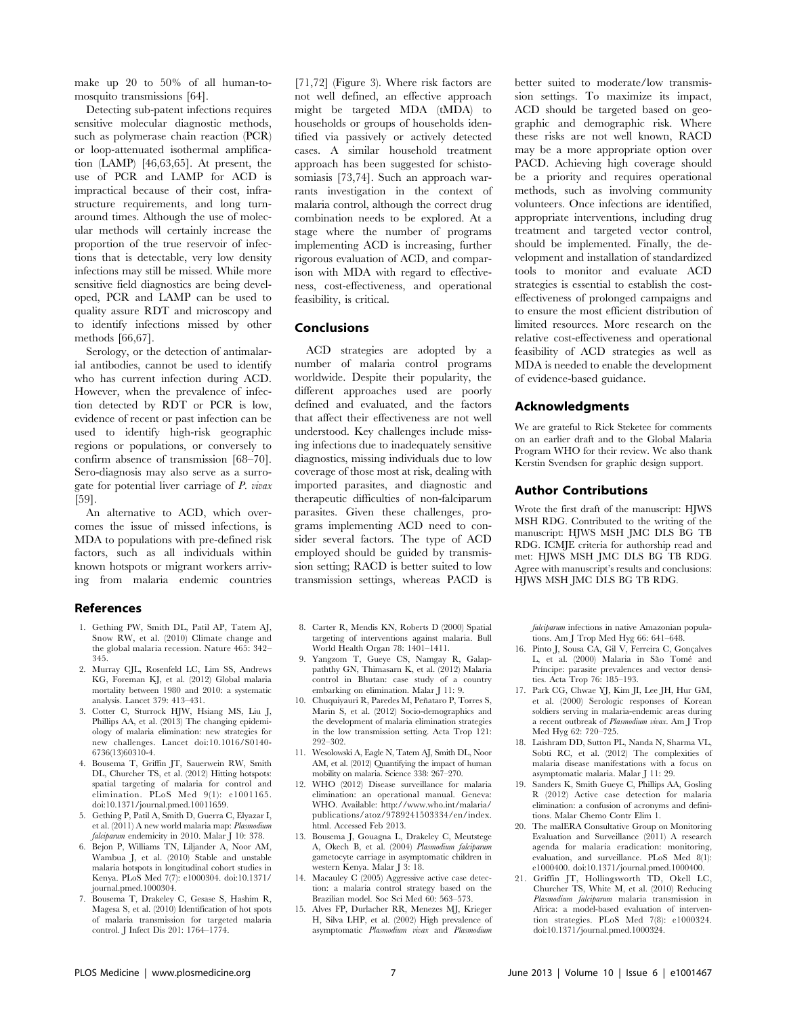make up 20 to 50% of all human-tomosquito transmissions [64].

Detecting sub-patent infections requires sensitive molecular diagnostic methods, such as polymerase chain reaction (PCR) or loop-attenuated isothermal amplification (LAMP) [46,63,65]. At present, the use of PCR and LAMP for ACD is impractical because of their cost, infrastructure requirements, and long turnaround times. Although the use of molecular methods will certainly increase the proportion of the true reservoir of infections that is detectable, very low density infections may still be missed. While more sensitive field diagnostics are being developed, PCR and LAMP can be used to quality assure RDT and microscopy and to identify infections missed by other methods [66,67].

Serology, or the detection of antimalarial antibodies, cannot be used to identify who has current infection during ACD. However, when the prevalence of infection detected by RDT or PCR is low, evidence of recent or past infection can be used to identify high-risk geographic regions or populations, or conversely to confirm absence of transmission [68–70]. Sero-diagnosis may also serve as a surrogate for potential liver carriage of P. vivax [59].

An alternative to ACD, which overcomes the issue of missed infections, is MDA to populations with pre-defined risk factors, such as all individuals within known hotspots or migrant workers arriving from malaria endemic countries

#### References

- 1. Gething PW, Smith DL, Patil AP, Tatem AJ, Snow RW, et al. (2010) Climate change and the global malaria recession. Nature 465: 342– 345.
- 2. Murray CJL, Rosenfeld LC, Lim SS, Andrews KG, Foreman KJ, et al. (2012) Global malaria mortality between 1980 and 2010: a systematic analysis. Lancet 379: 413–431.
- 3. Cotter C, Sturrock HJW, Hsiang MS, Liu J, Phillips AA, et al. (2013) The changing epidemiology of malaria elimination: new strategies for new challenges. Lancet doi:10.1016/S0140- 6736(13)60310-4.
- 4. Bousema T, Griffin JT, Sauerwein RW, Smith DL, Churcher TS, et al. (2012) Hitting hotspots: spatial targeting of malaria for control and elimination. PLoS Med 9(1): e1001165. doi:10.1371/journal.pmed.10011659.
- 5. Gething P, Patil A, Smith D, Guerra C, Elyazar I, et al. (2011) A new world malaria map: Plasmodium falciparum endemicity in 2010. Malar J 10: 378.
- 6. Bejon P, Williams TN, Liljander A, Noor AM, Wambua J, et al. (2010) Stable and unstable malaria hotspots in longitudinal cohort studies in Kenya. PLoS Med 7(7): e1000304. doi:10.1371/ journal.pmed.1000304.
- 7. Bousema T, Drakeley C, Gesase S, Hashim R, Magesa S, et al. (2010) Identification of hot spots of malaria transmission for targeted malaria control. J Infect Dis 201: 1764–1774.

[71,72] (Figure 3). Where risk factors are not well defined, an effective approach might be targeted MDA (tMDA) to households or groups of households identified via passively or actively detected cases. A similar household treatment approach has been suggested for schistosomiasis [73,74]. Such an approach warrants investigation in the context of malaria control, although the correct drug combination needs to be explored. At a stage where the number of programs implementing ACD is increasing, further rigorous evaluation of ACD, and comparison with MDA with regard to effectiveness, cost-effectiveness, and operational feasibility, is critical.

## Conclusions

ACD strategies are adopted by a number of malaria control programs worldwide. Despite their popularity, the different approaches used are poorly defined and evaluated, and the factors that affect their effectiveness are not well understood. Key challenges include missing infections due to inadequately sensitive diagnostics, missing individuals due to low coverage of those most at risk, dealing with imported parasites, and diagnostic and therapeutic difficulties of non-falciparum parasites. Given these challenges, programs implementing ACD need to consider several factors. The type of ACD employed should be guided by transmission setting; RACD is better suited to low transmission settings, whereas PACD is

- 8. Carter R, Mendis KN, Roberts D (2000) Spatial targeting of interventions against malaria. Bull World Health Organ 78: 1401–1411.
- 9. Yangzom T, Gueye CS, Namgay R, Galappaththy GN, Thimasarn K, et al. (2012) Malaria control in Bhutan: case study of a country embarking on elimination. Malar I 11: 9.
- 10. Chuquiyauri R, Paredes M, Peñataro P, Torres S Marin S, et al. (2012) Socio-demographics and the development of malaria elimination strategies in the low transmission setting. Acta Trop 121: 292–302.
- 11. Wesolowski A, Eagle N, Tatem AJ, Smith DL, Noor AM, et al. (2012) Quantifying the impact of human mobility on malaria. Science 338: 267–270.
- 12. WHO (2012) Disease surveillance for malaria elimination: an operational manual. Geneva: WHO. Available: http://www.who.int/malaria/ publications/atoz/9789241503334/en/index. html. Accessed Feb 2013.
- 13. Bousema J, Gouagna L, Drakeley C, Meutstege A, Okech B, et al. (2004) Plasmodium falciparum gametocyte carriage in asymptomatic children in western Kenya. Malar J 3: 18.
- 14. Macauley C (2005) Aggressive active case detection: a malaria control strategy based on the Brazilian model. Soc Sci Med 60: 563–573.
- 15. Alves FP, Durlacher RR, Menezes MJ, Krieger H, Silva LHP, et al. (2002) High prevalence of asymptomatic Plasmodium vivax and Plasmodium

better suited to moderate/low transmission settings. To maximize its impact, ACD should be targeted based on geographic and demographic risk. Where these risks are not well known, RACD may be a more appropriate option over PACD. Achieving high coverage should be a priority and requires operational methods, such as involving community volunteers. Once infections are identified, appropriate interventions, including drug treatment and targeted vector control, should be implemented. Finally, the development and installation of standardized tools to monitor and evaluate ACD strategies is essential to establish the costeffectiveness of prolonged campaigns and to ensure the most efficient distribution of limited resources. More research on the relative cost-effectiveness and operational feasibility of ACD strategies as well as MDA is needed to enable the development of evidence-based guidance.

## Acknowledgments

We are grateful to Rick Steketee for comments on an earlier draft and to the Global Malaria Program WHO for their review. We also thank Kerstin Svendsen for graphic design support.

#### Author Contributions

Wrote the first draft of the manuscript: HJWS MSH RDG. Contributed to the writing of the manuscript: HJWS MSH JMC DLS BG TB RDG. ICMJE criteria for authorship read and met: HJWS MSH JMC DLS BG TB RDG. Agree with manuscript's results and conclusions: HJWS MSH JMC DLS BG TB RDG.

falciparum infections in native Amazonian populations. Am J Trop Med Hyg 66: 641–648.

- 16. Pinto J, Sousa CA, Gil V, Ferreira C, Gonçalves L, et al. (2000) Malaria in São Tomé and Príncipe: parasite prevalences and vector densities. Acta Trop 76: 185–193.
- 17. Park CG, Chwae YJ, Kim JI, Lee JH, Hur GM, et al. (2000) Serologic responses of Korean soldiers serving in malaria-endemic areas during a recent outbreak of Plasmodium vivax. Am J Trop Med Hyg 62: 720–725.
- 18. Laishram DD, Sutton PL, Nanda N, Sharma VL, Sobti RC, et al. (2012) The complexities of malaria disease manifestations with a focus on asymptomatic malaria. Malar J 11: 29.
- 19. Sanders K, Smith Gueye C, Phillips AA, Gosling R (2012) Active case detection for malaria elimination: a confusion of acronyms and definitions. Malar Chemo Contr Elim 1.
- 20. The malERA Consultative Group on Monitoring Evaluation and Surveillance (2011) A research agenda for malaria eradication: monitoring, evaluation, and surveillance. PLoS Med 8(1): e1000400. doi:10.1371/journal.pmed.1000400.
- 21. Griffin JT, Hollingsworth TD, Okell LC, Churcher TS, White M, et al. (2010) Reducing Plasmodium falciparum malaria transmission in Africa: a model-based evaluation of intervention strategies. PLoS Med 7(8): e1000324. doi:10.1371/journal.pmed.1000324.